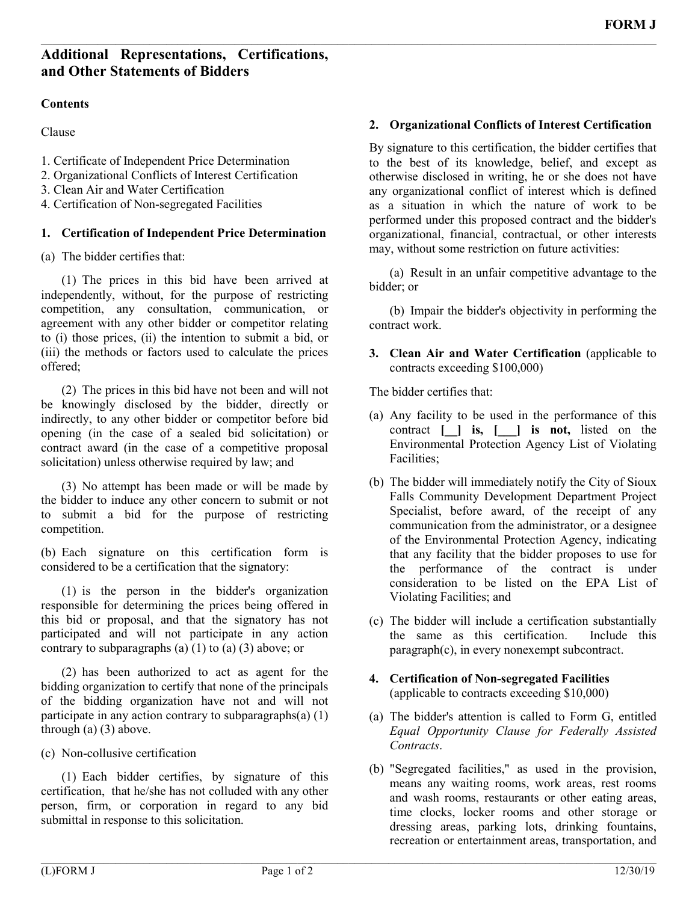# **Additional Representations, Certifications, and Other Statements of Bidders**

#### **Contents**

Clause

1. Certificate of Independent Price Determination

- 2. Organizational Conflicts of Interest Certification
- 3. Clean Air and Water Certification
- 4. Certification of Non-segregated Facilities

## **1. Certification of Independent Price Determination**

(a) The bidder certifies that:

(1) The prices in this bid have been arrived at independently, without, for the purpose of restricting competition, any consultation, communication, or agreement with any other bidder or competitor relating to (i) those prices, (ii) the intention to submit a bid, or (iii) the methods or factors used to calculate the prices offered;

(2) The prices in this bid have not been and will not be knowingly disclosed by the bidder, directly or indirectly, to any other bidder or competitor before bid opening (in the case of a sealed bid solicitation) or contract award (in the case of a competitive proposal solicitation) unless otherwise required by law; and

(3) No attempt has been made or will be made by the bidder to induce any other concern to submit or not to submit a bid for the purpose of restricting competition.

(b) Each signature on this certification form is considered to be a certification that the signatory:

(1) is the person in the bidder's organization responsible for determining the prices being offered in this bid or proposal, and that the signatory has not participated and will not participate in any action contrary to subparagraphs (a)  $(1)$  to  $(a)$   $(3)$  above; or

(2) has been authorized to act as agent for the bidding organization to certify that none of the principals of the bidding organization have not and will not participate in any action contrary to subparagraphs $(a)$  (1) through (a) (3) above.

(c) Non-collusive certification

(1) Each bidder certifies, by signature of this certification, that he/she has not colluded with any other person, firm, or corporation in regard to any bid submittal in response to this solicitation.

## **2. Organizational Conflicts of Interest Certification**

By signature to this certification, the bidder certifies that to the best of its knowledge, belief, and except as otherwise disclosed in writing, he or she does not have any organizational conflict of interest which is defined as a situation in which the nature of work to be performed under this proposed contract and the bidder's organizational, financial, contractual, or other interests may, without some restriction on future activities:

(a) Result in an unfair competitive advantage to the bidder; or

(b) Impair the bidder's objectivity in performing the contract work.

**3. Clean Air and Water Certification** (applicable to contracts exceeding \$100,000)

The bidder certifies that:

 $\mathcal{L}_\mathcal{L} = \mathcal{L}_\mathcal{L} = \mathcal{L}_\mathcal{L} = \mathcal{L}_\mathcal{L} = \mathcal{L}_\mathcal{L} = \mathcal{L}_\mathcal{L} = \mathcal{L}_\mathcal{L} = \mathcal{L}_\mathcal{L} = \mathcal{L}_\mathcal{L} = \mathcal{L}_\mathcal{L} = \mathcal{L}_\mathcal{L} = \mathcal{L}_\mathcal{L} = \mathcal{L}_\mathcal{L} = \mathcal{L}_\mathcal{L} = \mathcal{L}_\mathcal{L} = \mathcal{L}_\mathcal{L} = \mathcal{L}_\mathcal{L}$ 

- (a) Any facility to be used in the performance of this contract **[\_\_] is, [\_\_\_] is not,** listed on the Environmental Protection Agency List of Violating Facilities;
- (b) The bidder will immediately notify the City of Sioux Falls Community Development Department Project Specialist, before award, of the receipt of any communication from the administrator, or a designee of the Environmental Protection Agency, indicating that any facility that the bidder proposes to use for the performance of the contract is under consideration to be listed on the EPA List of Violating Facilities; and
- (c) The bidder will include a certification substantially the same as this certification. Include this paragraph(c), in every nonexempt subcontract.
- **4. Certification of Non-segregated Facilities**  (applicable to contracts exceeding \$10,000)
- (a) The bidder's attention is called to Form G, entitled *Equal Opportunity Clause for Federally Assisted Contracts*.
- (b) "Segregated facilities," as used in the provision, means any waiting rooms, work areas, rest rooms and wash rooms, restaurants or other eating areas, time clocks, locker rooms and other storage or dressing areas, parking lots, drinking fountains, recreation or entertainment areas, transportation, and